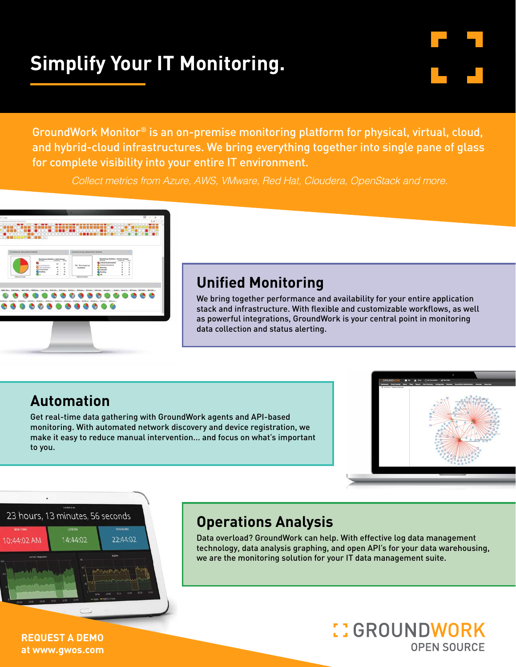## **Simplify Your IT Monitoring.**

GroundWork Monitor® is an on-premise monitoring platform for physical, virtual, cloud, and hybrid-cloud infrastructures. We bring everything together into single pane of glass for complete visibility into your entire IT environment.

*Collect metrics from Azure, AWS, VMware, Red Hat, Cloudera, OpenStack and more.*



## **Unified Monitoring**

We bring together performance and availability for your entire application stack and infrastructure. With flexible and customizable workflows, as well as powerful integrations, GroundWork is your central point in monitoring data collection and status alerting.

### **Automation**

Get real-time data gathering with GroundWork agents and API-based monitoring. With automated network discovery and device registration, we make it easy to reduce manual intervention... and focus on what's important to you.





**REQUEST A DEMO at www.gwos.com**

### **Operations Analysis**

Data overload? GroundWork can help. With effective log data management technology, data analysis graphing, and open API's for your data warehousing, we are the monitoring solution for your IT data management suite.